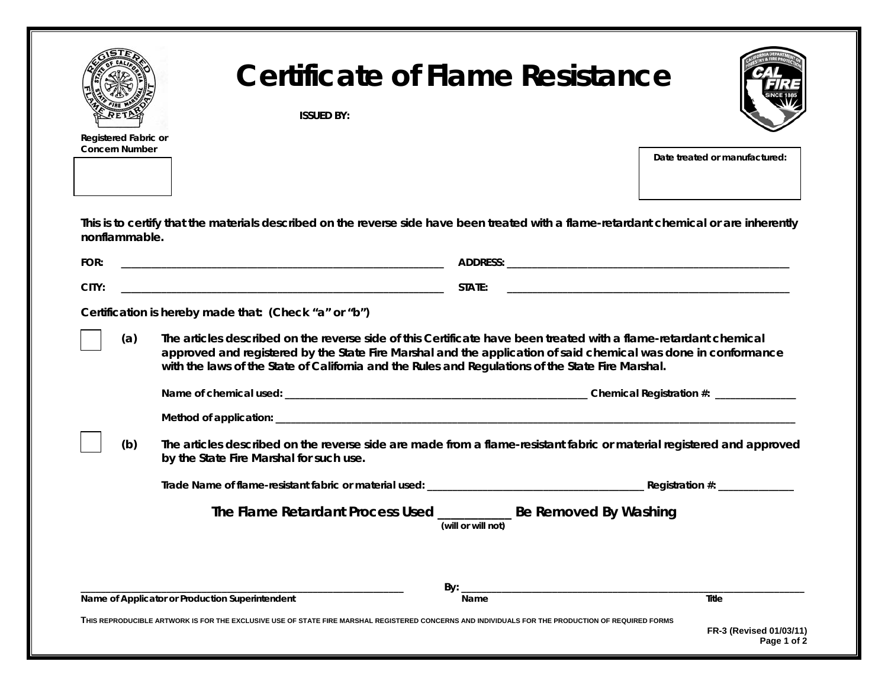|                                                                                                                                                                         | <b>Certificate of Flame Resistance</b><br><b>ISSUED BY:</b>                                                                                                                                                                                                                                                                                                                                      |                    |                                                                                                                     |
|-------------------------------------------------------------------------------------------------------------------------------------------------------------------------|--------------------------------------------------------------------------------------------------------------------------------------------------------------------------------------------------------------------------------------------------------------------------------------------------------------------------------------------------------------------------------------------------|--------------------|---------------------------------------------------------------------------------------------------------------------|
| Registered Fabric or<br><b>Concern Number</b>                                                                                                                           |                                                                                                                                                                                                                                                                                                                                                                                                  |                    | Date treated or manufactured:                                                                                       |
| nonflammable.                                                                                                                                                           | This is to certify that the materials described on the reverse side have been treated with a flame-retardant chemical or are inherently                                                                                                                                                                                                                                                          |                    |                                                                                                                     |
| FOR:                                                                                                                                                                    |                                                                                                                                                                                                                                                                                                                                                                                                  |                    |                                                                                                                     |
| CITY:                                                                                                                                                                   |                                                                                                                                                                                                                                                                                                                                                                                                  |                    | <u> 1989 - Johann John Stoff, deutscher Stoffen und der Stoffen und der Stoffen und der Stoffen und der Stoffen</u> |
| (a)                                                                                                                                                                     | Certification is hereby made that: (Check "a" or "b")<br>The articles described on the reverse side of this Certificate have been treated with a flame-retardant chemical<br>approved and registered by the State Fire Marshal and the application of said chemical was done in conformance<br>with the laws of the State of California and the Rules and Regulations of the State Fire Marshal. |                    |                                                                                                                     |
|                                                                                                                                                                         |                                                                                                                                                                                                                                                                                                                                                                                                  |                    |                                                                                                                     |
|                                                                                                                                                                         |                                                                                                                                                                                                                                                                                                                                                                                                  |                    |                                                                                                                     |
| (b)<br>The articles described on the reverse side are made from a flame-resistant fabric or material registered and approved<br>by the State Fire Marshal for such use. |                                                                                                                                                                                                                                                                                                                                                                                                  |                    |                                                                                                                     |
|                                                                                                                                                                         |                                                                                                                                                                                                                                                                                                                                                                                                  |                    |                                                                                                                     |
|                                                                                                                                                                         | The Flame Retardant Process Used ___________ Be Removed By Washing                                                                                                                                                                                                                                                                                                                               | (will or will not) |                                                                                                                     |
|                                                                                                                                                                         |                                                                                                                                                                                                                                                                                                                                                                                                  |                    |                                                                                                                     |
|                                                                                                                                                                         | Name of Applicator or Production Superintendent                                                                                                                                                                                                                                                                                                                                                  | By:<br>Name        | Title                                                                                                               |
|                                                                                                                                                                         | THIS REPRODUCIBLE ARTWORK IS FOR THE EXCLUSIVE USE OF STATE FIRE MARSHAL REGISTERED CONCERNS AND INDIVIDUALS FOR THE PRODUCTION OF REQUIRED FORMS                                                                                                                                                                                                                                                |                    | FR-3 (Revised 01/03/11)                                                                                             |

**Page 1 of 2**